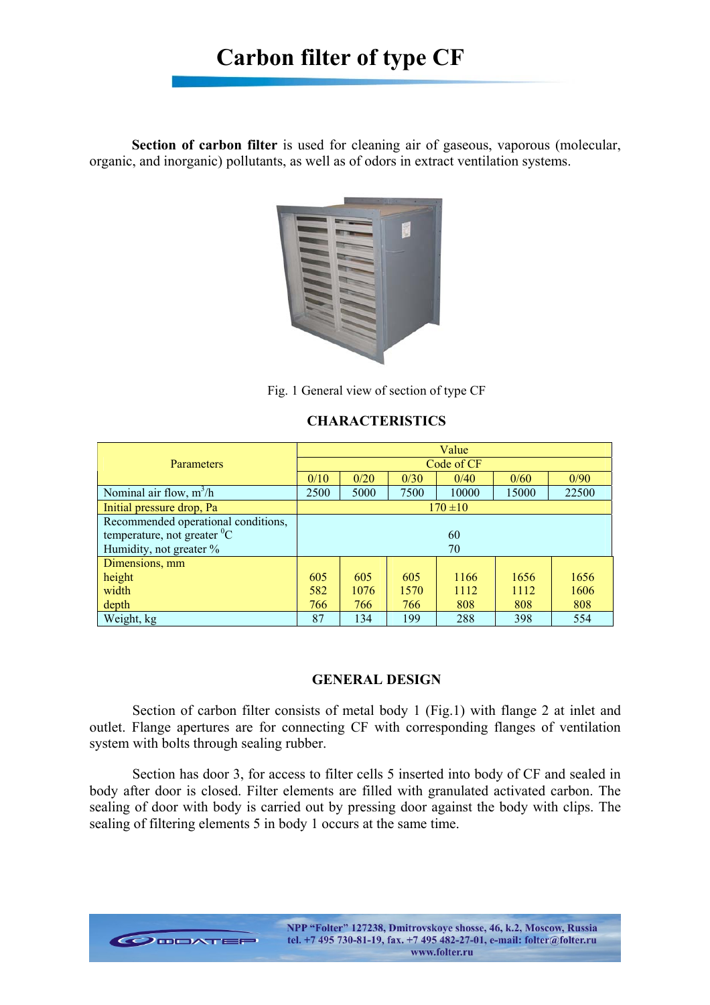**Section of carbon filter** is used for cleaning air of gaseous, vaporous (molecular, organic, and inorganic) pollutants, as well as of odors in extract ventilation systems.



Fig. 1 General view of section of type СF

# **CHARACTERISTICS**

|                                     | Value        |      |      |       |       |       |  |  |  |
|-------------------------------------|--------------|------|------|-------|-------|-------|--|--|--|
| <b>Parameters</b>                   | Code of CF   |      |      |       |       |       |  |  |  |
|                                     | 0/10         | 0/20 | 0/30 | 0/40  | 0/60  | 0/90  |  |  |  |
| Nominal air flow, $m^3/h$           | 2500         | 5000 | 7500 | 10000 | 15000 | 22500 |  |  |  |
| Initial pressure drop, Pa           | $170 \pm 10$ |      |      |       |       |       |  |  |  |
| Recommended operational conditions, |              |      |      |       |       |       |  |  |  |
| temperature, not greater ${}^{0}C$  | 60           |      |      |       |       |       |  |  |  |
| Humidity, not greater %             | 70           |      |      |       |       |       |  |  |  |
| Dimensions, mm                      |              |      |      |       |       |       |  |  |  |
| height                              | 605          | 605  | 605  | 1166  | 1656  | 1656  |  |  |  |
| width                               | 582          | 1076 | 1570 | 1112  | 1112  | 1606  |  |  |  |
| depth                               | 766          | 766  | 766  | 808   | 808   | 808   |  |  |  |
| Weight, kg                          | 87           | 134  | 199  | 288   | 398   | 554   |  |  |  |

## **GENERAL DESIGN**

Section of carbon filter consists of metal body 1 (Fig.1) with flange 2 at inlet and outlet. Flange apertures are for connecting СF with corresponding flanges of ventilation system with bolts through sealing rubber.

Section has door 3, for access to filter cells 5 inserted into body of СF and sealed in body after door is closed. Filter elements are filled with granulated activated carbon. The sealing of door with body is carried out by pressing door against the body with clips. The sealing of filtering elements 5 in body 1 occurs at the same time.